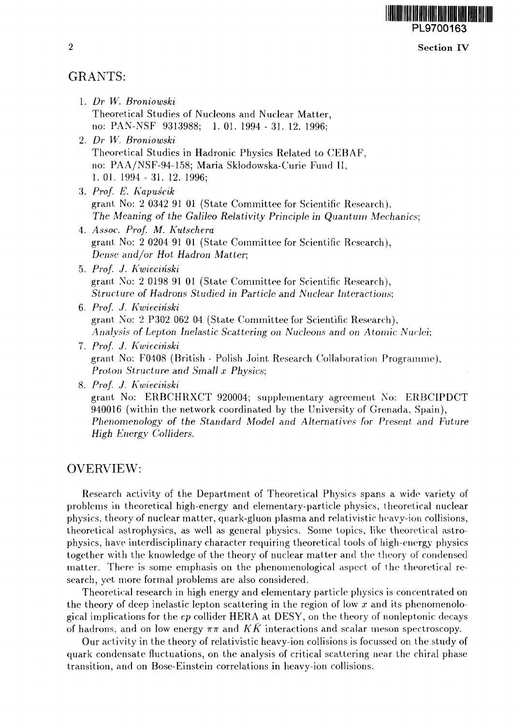### Section IV

# GRANTS:

- 1. *Dr W. Broniowski* Theoretical Studies of Nucleons and Nuclear Matter, no: PAN-NSF 9313988; 1. 01. 1994 - 31. 12. 1996;
- 2. *Dr W. Broniowski* Theoretical Studies in Hadronic Physics Related to CEBAF, no: PAA/NSF-94-158; Maria Sklodowska-Curie Fund II, 1. 01. 1994 - 31. 12. 1996;
- 3. *Prof. E. Kapuscik* grant No: 2 0342 91 01 (State Committee for Scientific Research), *The Meaning of the Galileo Relativity Principle in Quantum Mechanics;*
- 4. *Assoc. Prof. M. Kutschera* grant No: 2 0204 91 01 (State Committee for Scientific Research), *Dense and/or Hot Hadron Matter,*
- 5. *Prof. J. Kwiecinski* grant No: 2 0198 91 01 (State Committee for Scientific Research), *Structure of Hadrons Studied in Particle and Nuclear Interactions:*
- 6. *Prof. J. Kwiecinski* grant No: 2 P302 062 04 (State Committee for Scientific Research), *Analysis of Lepton Inelastic Scattering on Nucleons and on Atomic Nuclei;*
- 7. *Prof. J. Kwiecinski* grant No: F0408 (British - Polish Joint Research Collaboration Programme), *Proton Structure and Small x Physics;*

8. *Prof. J. Kwiecinski* grant No: ERBCHRXCT 920004; supplementary agreement No: ERBCIPDCT 940016 (within the network coordinated by the University of Grenada, Spain), *Phenomenology of the Standard Model and Alternatives for Present and Future High Energy Colliders.*

## OVERVIEW:

Research activity of the Department of Theoretical Physics spans a wide variety of problems in theoretical high-energy and elementary-particle physics, theoretical nuclear physics, theory of nuclear matter, quark-gluon plasma and relativistic heavy-ion collisions, theoretical astrophysics, as well as general physics. Some topics, like theoretical astrophysics, have interdisciplinary character requiring theoretical tools of high-energy physics together with the knowledge of the theory of nuclear matter and the theory of condensed matter. There is some emphasis on the phenomenological aspect of ihe theoretical research, yet more formal problems are also considered.

Theoretical research in high energy and elementary particle physics is concentrated on the theory of deep inelastic lepton scattering in the region of low *x* and its phenomenological implications for the *ep* collider HERA at DESY, on the theory of nonleptonic decays of hadrons, and on low energy  $\pi\pi$  and KK interactions and scalar meson spectroscopy.

Our activity in the theory of relativistic heavy-ion collisions is focussed on the study of quark condensate fluctuations, on the analysis of critical scattering near the chiral phase transition, and on Bose-Einstein correlations in heavy-ion collisions.

 $\overline{2}$